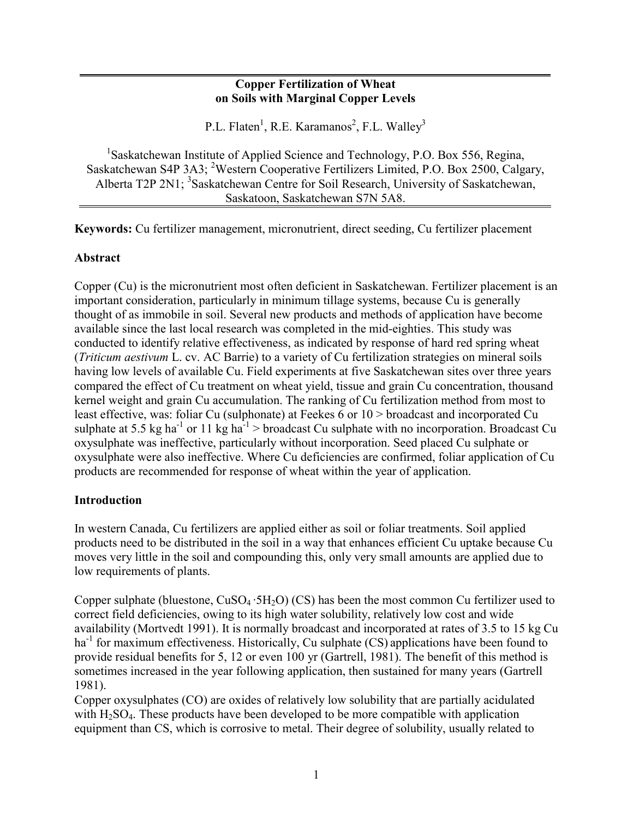#### **Copper Fertilization of Wheat on Soils with Marginal Copper Levels**

P.L. Flaten<sup>1</sup>, R.E. Karamanos<sup>2</sup>, F.L. Walley<sup>3</sup>

<sup>1</sup>Saskatchewan Institute of Applied Science and Technology, P.O. Box 556, Regina, Saskatchewan S4P 3A3; <sup>2</sup>Western Cooperative Fertilizers Limited, P.O. Box 2500, Calgary, Alberta T2P 2N1; <sup>3</sup>Saskatchewan Centre for Soil Research, University of Saskatchewan, Saskatoon, Saskatchewan S7N 5A8.

**Keywords:** Cu fertilizer management, micronutrient, direct seeding, Cu fertilizer placement

#### **Abstract**

Copper (Cu) is the micronutrient most often deficient in Saskatchewan. Fertilizer placement is an important consideration, particularly in minimum tillage systems, because Cu is generally thought of as immobile in soil. Several new products and methods of application have become available since the last local research was completed in the mid-eighties. This study was conducted to identify relative effectiveness, as indicated by response of hard red spring wheat (*Triticum aestivum* L. cv. AC Barrie) to a variety of Cu fertilization strategies on mineral soils having low levels of available Cu. Field experiments at five Saskatchewan sites over three years compared the effect of Cu treatment on wheat yield, tissue and grain Cu concentration, thousand kernel weight and grain Cu accumulation. The ranking of Cu fertilization method from most to least effective, was: foliar Cu (sulphonate) at Feekes 6 or 10 > broadcast and incorporated Cu sulphate at 5.5 kg ha<sup>-1</sup> or 11 kg ha<sup>-1</sup> > broadcast Cu sulphate with no incorporation. Broadcast Cu oxysulphate was ineffective, particularly without incorporation. Seed placed Cu sulphate or oxysulphate were also ineffective. Where Cu deficiencies are confirmed, foliar application of Cu products are recommended for response of wheat within the year of application.

#### **Introduction**

In western Canada, Cu fertilizers are applied either as soil or foliar treatments. Soil applied products need to be distributed in the soil in a way that enhances efficient Cu uptake because Cu moves very little in the soil and compounding this, only very small amounts are applied due to low requirements of plants.

Copper sulphate (bluestone,  $CuSO<sub>4</sub>·5H<sub>2</sub>O$ ) (CS) has been the most common Cu fertilizer used to correct field deficiencies, owing to its high water solubility, relatively low cost and wide availability (Mortvedt 1991). It is normally broadcast and incorporated at rates of 3.5 to 15 kg Cu ha<sup>-1</sup> for maximum effectiveness. Historically, Cu sulphate (CS) applications have been found to provide residual benefits for 5, 12 or even 100 yr (Gartrell, 1981). The benefit of this method is sometimes increased in the year following application, then sustained for many years (Gartrell 1981).

Copper oxysulphates (CO) are oxides of relatively low solubility that are partially acidulated with  $H_2SO_4$ . These products have been developed to be more compatible with application equipment than CS, which is corrosive to metal. Their degree of solubility, usually related to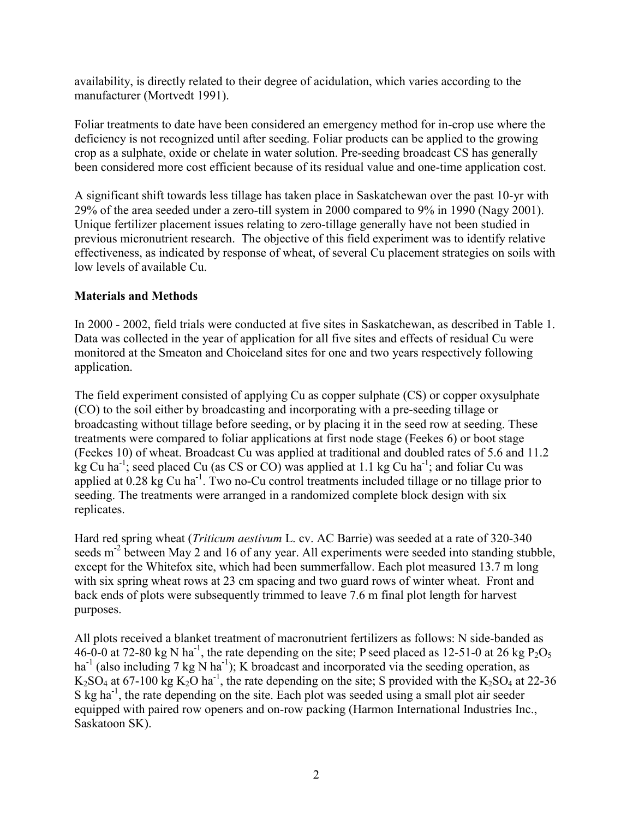availability, is directly related to their degree of acidulation, which varies according to the manufacturer (Mortvedt 1991).

Foliar treatments to date have been considered an emergency method for in-crop use where the deficiency is not recognized until after seeding. Foliar products can be applied to the growing crop as a sulphate, oxide or chelate in water solution. Pre-seeding broadcast CS has generally been considered more cost efficient because of its residual value and one-time application cost.

A significant shift towards less tillage has taken place in Saskatchewan over the past 10-yr with 29% of the area seeded under a zero-till system in 2000 compared to 9% in 1990 (Nagy 2001). Unique fertilizer placement issues relating to zero-tillage generally have not been studied in previous micronutrient research. The objective of this field experiment was to identify relative effectiveness, as indicated by response of wheat, of several Cu placement strategies on soils with low levels of available Cu.

# **Materials and Methods**

In 2000 - 2002, field trials were conducted at five sites in Saskatchewan, as described in Table 1. Data was collected in the year of application for all five sites and effects of residual Cu were monitored at the Smeaton and Choiceland sites for one and two years respectively following application.

The field experiment consisted of applying Cu as copper sulphate (CS) or copper oxysulphate (CO) to the soil either by broadcasting and incorporating with a pre-seeding tillage or broadcasting without tillage before seeding, or by placing it in the seed row at seeding. These treatments were compared to foliar applications at first node stage (Feekes 6) or boot stage (Feekes 10) of wheat. Broadcast Cu was applied at traditional and doubled rates of 5.6 and 11.2 kg Cu ha<sup>-1</sup>; seed placed Cu (as CS or CO) was applied at 1.1 kg Cu ha<sup>-1</sup>; and foliar Cu was applied at 0.28 kg Cu ha<sup>-1</sup>. Two no-Cu control treatments included tillage or no tillage prior to seeding. The treatments were arranged in a randomized complete block design with six replicates.

Hard red spring wheat (*Triticum aestivum* L. cv. AC Barrie) was seeded at a rate of 320-340 seeds m<sup>-2</sup> between May 2 and 16 of any year. All experiments were seeded into standing stubble, except for the Whitefox site, which had been summerfallow. Each plot measured 13.7 m long with six spring wheat rows at 23 cm spacing and two guard rows of winter wheat. Front and back ends of plots were subsequently trimmed to leave 7.6 m final plot length for harvest purposes.

All plots received a blanket treatment of macronutrient fertilizers as follows: N side-banded as 46-0-0 at 72-80 kg N ha<sup>-1</sup>, the rate depending on the site; P seed placed as 12-51-0 at 26 kg P<sub>2</sub>O<sub>5</sub> ha<sup>-1</sup> (also including 7 kg N ha<sup>-1</sup>); K broadcast and incorporated via the seeding operation, as  $K_2SO_4$  at 67-100 kg  $K_2O$  ha<sup>-1</sup>, the rate depending on the site; S provided with the  $K_2SO_4$  at 22-36 S kg ha<sup>-1</sup>, the rate depending on the site. Each plot was seeded using a small plot air seeder equipped with paired row openers and on-row packing (Harmon International Industries Inc., Saskatoon SK).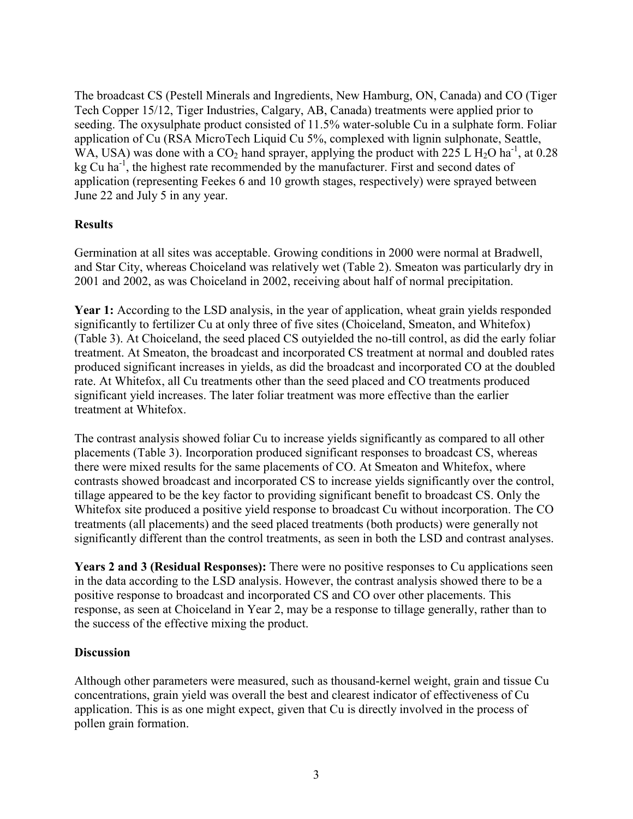The broadcast CS (Pestell Minerals and Ingredients, New Hamburg, ON, Canada) and CO (Tiger Tech Copper 15/12, Tiger Industries, Calgary, AB, Canada) treatments were applied prior to seeding. The oxysulphate product consisted of 11.5% water-soluble Cu in a sulphate form. Foliar application of Cu (RSA MicroTech Liquid Cu 5%, complexed with lignin sulphonate, Seattle, WA, USA) was done with a  $CO<sub>2</sub>$  hand sprayer, applying the product with 225 L H<sub>2</sub>O ha<sup>-1</sup>, at 0.28 kg  $Cu$  ha<sup>-1</sup>, the highest rate recommended by the manufacturer. First and second dates of application (representing Feekes 6 and 10 growth stages, respectively) were sprayed between June 22 and July 5 in any year.

# **Results**

Germination at all sites was acceptable. Growing conditions in 2000 were normal at Bradwell, and Star City, whereas Choiceland was relatively wet (Table 2). Smeaton was particularly dry in 2001 and 2002, as was Choiceland in 2002, receiving about half of normal precipitation.

Year 1: According to the LSD analysis, in the year of application, wheat grain yields responded significantly to fertilizer Cu at only three of five sites (Choiceland, Smeaton, and Whitefox) (Table 3). At Choiceland, the seed placed CS outyielded the no-till control, as did the early foliar treatment. At Smeaton, the broadcast and incorporated CS treatment at normal and doubled rates produced significant increases in yields, as did the broadcast and incorporated CO at the doubled rate. At Whitefox, all Cu treatments other than the seed placed and CO treatments produced significant yield increases. The later foliar treatment was more effective than the earlier treatment at Whitefox.

The contrast analysis showed foliar Cu to increase yields significantly as compared to all other placements (Table 3). Incorporation produced significant responses to broadcast CS, whereas there were mixed results for the same placements of CO. At Smeaton and Whitefox, where contrasts showed broadcast and incorporated CS to increase yields significantly over the control, tillage appeared to be the key factor to providing significant benefit to broadcast CS. Only the Whitefox site produced a positive yield response to broadcast Cu without incorporation. The CO treatments (all placements) and the seed placed treatments (both products) were generally not significantly different than the control treatments, as seen in both the LSD and contrast analyses.

**Years 2 and 3 (Residual Responses):** There were no positive responses to Cu applications seen in the data according to the LSD analysis. However, the contrast analysis showed there to be a positive response to broadcast and incorporated CS and CO over other placements. This response, as seen at Choiceland in Year 2, may be a response to tillage generally, rather than to the success of the effective mixing the product.

# **Discussion**

Although other parameters were measured, such as thousand-kernel weight, grain and tissue Cu concentrations, grain yield was overall the best and clearest indicator of effectiveness of Cu application. This is as one might expect, given that Cu is directly involved in the process of pollen grain formation.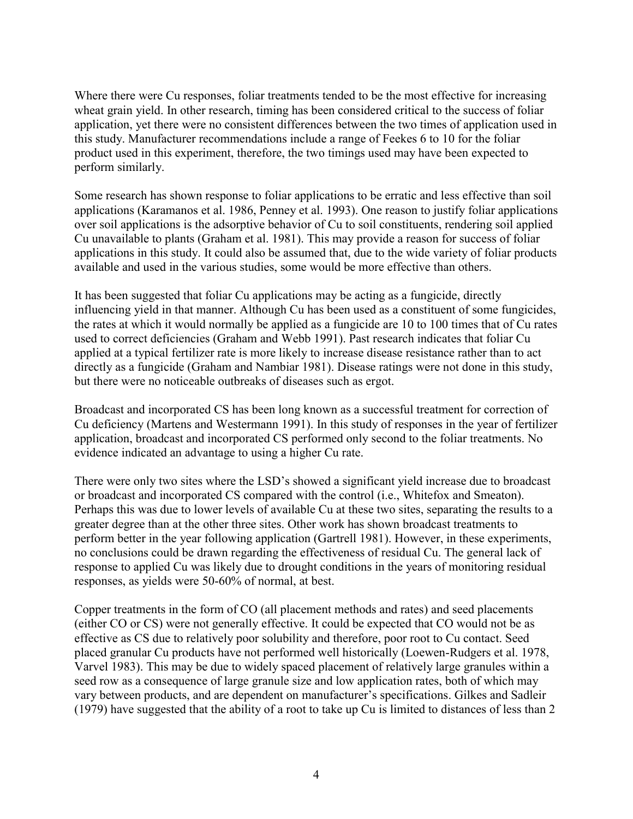Where there were Cu responses, foliar treatments tended to be the most effective for increasing wheat grain yield. In other research, timing has been considered critical to the success of foliar application, yet there were no consistent differences between the two times of application used in this study. Manufacturer recommendations include a range of Feekes 6 to 10 for the foliar product used in this experiment, therefore, the two timings used may have been expected to perform similarly.

Some research has shown response to foliar applications to be erratic and less effective than soil applications (Karamanos et al. 1986, Penney et al. 1993). One reason to justify foliar applications over soil applications is the adsorptive behavior of Cu to soil constituents, rendering soil applied Cu unavailable to plants (Graham et al. 1981). This may provide a reason for success of foliar applications in this study. It could also be assumed that, due to the wide variety of foliar products available and used in the various studies, some would be more effective than others.

It has been suggested that foliar Cu applications may be acting as a fungicide, directly influencing yield in that manner. Although Cu has been used as a constituent of some fungicides, the rates at which it would normally be applied as a fungicide are 10 to 100 times that of Cu rates used to correct deficiencies (Graham and Webb 1991). Past research indicates that foliar Cu applied at a typical fertilizer rate is more likely to increase disease resistance rather than to act directly as a fungicide (Graham and Nambiar 1981). Disease ratings were not done in this study, but there were no noticeable outbreaks of diseases such as ergot.

Broadcast and incorporated CS has been long known as a successful treatment for correction of Cu deficiency (Martens and Westermann 1991). In this study of responses in the year of fertilizer application, broadcast and incorporated CS performed only second to the foliar treatments. No evidence indicated an advantage to using a higher Cu rate.

There were only two sites where the LSD's showed a significant yield increase due to broadcast or broadcast and incorporated CS compared with the control (i.e., Whitefox and Smeaton). Perhaps this was due to lower levels of available Cu at these two sites, separating the results to a greater degree than at the other three sites. Other work has shown broadcast treatments to perform better in the year following application (Gartrell 1981). However, in these experiments, no conclusions could be drawn regarding the effectiveness of residual Cu. The general lack of response to applied Cu was likely due to drought conditions in the years of monitoring residual responses, as yields were 50-60% of normal, at best.

Copper treatments in the form of CO (all placement methods and rates) and seed placements (either CO or CS) were not generally effective. It could be expected that CO would not be as effective as CS due to relatively poor solubility and therefore, poor root to Cu contact. Seed placed granular Cu products have not performed well historically (Loewen-Rudgers et al. 1978, Varvel 1983). This may be due to widely spaced placement of relatively large granules within a seed row as a consequence of large granule size and low application rates, both of which may vary between products, and are dependent on manufacturer's specifications. Gilkes and Sadleir (1979) have suggested that the ability of a root to take up Cu is limited to distances of less than 2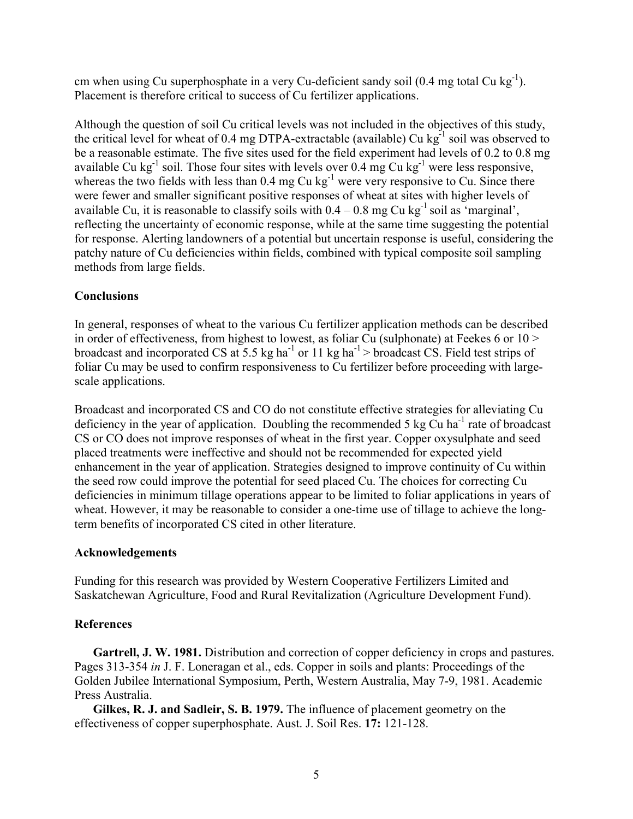cm when using Cu superphosphate in a very Cu-deficient sandy soil  $(0.4 \text{ mg total Cu kg}^{-1})$ . Placement is therefore critical to success of Cu fertilizer applications.

Although the question of soil Cu critical levels was not included in the objectives of this study, the critical level for wheat of 0.4 mg DTPA-extractable (available) Cu  $kg^{-1}$  soil was observed to be a reasonable estimate. The five sites used for the field experiment had levels of 0.2 to 0.8 mg available Cu kg<sup>-1</sup> soil. Those four sites with levels over 0.4 mg Cu kg<sup>-1</sup> were less responsive, whereas the two fields with less than 0.4 mg Cu kg<sup>-1</sup> were very responsive to Cu. Since there were fewer and smaller significant positive responses of wheat at sites with higher levels of available Cu, it is reasonable to classify soils with  $0.4 - 0.8$  mg Cu kg<sup>-1</sup> soil as 'marginal', reflecting the uncertainty of economic response, while at the same time suggesting the potential for response. Alerting landowners of a potential but uncertain response is useful, considering the patchy nature of Cu deficiencies within fields, combined with typical composite soil sampling methods from large fields.

# **Conclusions**

In general, responses of wheat to the various Cu fertilizer application methods can be described in order of effectiveness, from highest to lowest, as foliar Cu (sulphonate) at Feekes 6 or 10 > broadcast and incorporated CS at 5.5 kg ha<sup>-1</sup> or 11 kg ha<sup>-1</sup> > broadcast CS. Field test strips of foliar Cu may be used to confirm responsiveness to Cu fertilizer before proceeding with largescale applications.

Broadcast and incorporated CS and CO do not constitute effective strategies for alleviating Cu deficiency in the year of application. Doubling the recommended 5 kg Cu ha<sup>-1</sup> rate of broadcast CS or CO does not improve responses of wheat in the first year. Copper oxysulphate and seed placed treatments were ineffective and should not be recommended for expected yield enhancement in the year of application. Strategies designed to improve continuity of Cu within the seed row could improve the potential for seed placed Cu. The choices for correcting Cu deficiencies in minimum tillage operations appear to be limited to foliar applications in years of wheat. However, it may be reasonable to consider a one-time use of tillage to achieve the longterm benefits of incorporated CS cited in other literature.

#### **Acknowledgements**

Funding for this research was provided by Western Cooperative Fertilizers Limited and Saskatchewan Agriculture, Food and Rural Revitalization (Agriculture Development Fund).

# **References**

**Gartrell, J. W. 1981.** Distribution and correction of copper deficiency in crops and pastures. Pages 313-354 *in* J. F. Loneragan et al., eds. Copper in soils and plants: Proceedings of the Golden Jubilee International Symposium, Perth, Western Australia, May 7-9, 1981. Academic Press Australia.

**Gilkes, R. J. and Sadleir, S. B. 1979.** The influence of placement geometry on the effectiveness of copper superphosphate. Aust. J. Soil Res. **17:** 121-128.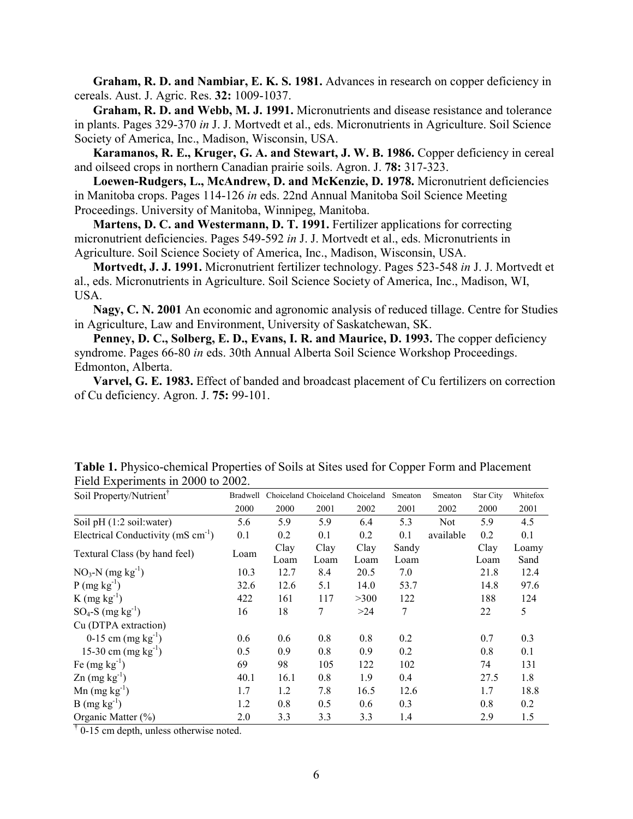**Graham, R. D. and Nambiar, E. K. S. 1981.** Advances in research on copper deficiency in cereals. Aust. J. Agric. Res. **32:** 1009-1037.

**Graham, R. D. and Webb, M. J. 1991.** Micronutrients and disease resistance and tolerance in plants. Pages 329-370 *in* J. J. Mortvedt et al., eds. Micronutrients in Agriculture. Soil Science Society of America, Inc., Madison, Wisconsin, USA.

**Karamanos, R. E., Kruger, G. A. and Stewart, J. W. B. 1986.** Copper deficiency in cereal and oilseed crops in northern Canadian prairie soils. Agron. J. **78:** 317-323.

**Loewen-Rudgers, L., McAndrew, D. and McKenzie, D. 1978.** Micronutrient deficiencies in Manitoba crops. Pages 114-126 *in* eds. 22nd Annual Manitoba Soil Science Meeting Proceedings. University of Manitoba, Winnipeg, Manitoba.

**Martens, D. C. and Westermann, D. T. 1991.** Fertilizer applications for correcting micronutrient deficiencies. Pages 549-592 *in* J. J. Mortvedt et al., eds. Micronutrients in Agriculture. Soil Science Society of America, Inc., Madison, Wisconsin, USA.

**Mortvedt, J. J. 1991.** Micronutrient fertilizer technology. Pages 523-548 *in* J. J. Mortvedt et al., eds. Micronutrients in Agriculture. Soil Science Society of America, Inc., Madison, WI, USA.

**Nagy, C. N. 2001** An economic and agronomic analysis of reduced tillage. Centre for Studies in Agriculture, Law and Environment, University of Saskatchewan, SK.

Penney, D. C., Solberg, E. D., Evans, I. R. and Maurice, D. 1993. The copper deficiency syndrome. Pages 66-80 *in* eds. 30th Annual Alberta Soil Science Workshop Proceedings. Edmonton, Alberta.

**Varvel, G. E. 1983.** Effect of banded and broadcast placement of Cu fertilizers on correction of Cu deficiency. Agron. J. **75:** 99-101.

| Soil Property/Nutrient <sup>†</sup>              | Bradwell |              |              | Choiceland Choiceland Choiceland | Smeaton       | Smeaton    | <b>Star City</b> | Whitefox      |
|--------------------------------------------------|----------|--------------|--------------|----------------------------------|---------------|------------|------------------|---------------|
|                                                  | 2000     | 2000         | 2001         | 2002                             | 2001          | 2002       | 2000             | 2001          |
| Soil pH (1:2 soil: water)                        | 5.6      | 5.9          | 5.9          | 6.4                              | 5.3           | <b>Not</b> | 5.9              | 4.5           |
| Electrical Conductivity ( $mS \text{ cm}^{-1}$ ) | 0.1      | 0.2          | 0.1          | 0.2                              | 0.1           | available  | 0.2              | 0.1           |
| Textural Class (by hand feel)                    | Loam     | Clay<br>Loam | Clay<br>Loam | Clay<br>Loam                     | Sandy<br>Loam |            | Clay<br>Loam     | Loamy<br>Sand |
| $NO_3-N$ (mg kg <sup>-1</sup> )                  | 10.3     | 12.7         | 8.4          | 20.5                             | 7.0           |            | 21.8             | 12.4          |
| $P(mg kg^{-1})$                                  | 32.6     | 12.6         | 5.1          | 14.0                             | 53.7          |            | 14.8             | 97.6          |
| $K$ (mg $kg^{-1}$ )                              | 422      | 161          | 117          | >300                             | 122           |            | 188              | 124           |
| $SO_4$ -S (mg kg <sup>-1</sup> )                 | 16       | 18           | 7            | >24                              | 7             |            | 22               | 5             |
| Cu (DTPA extraction)                             |          |              |              |                                  |               |            |                  |               |
| 0-15 cm $(mg kg^{-1})$                           | 0.6      | 0.6          | 0.8          | 0.8                              | 0.2           |            | 0.7              | 0.3           |
| 15-30 cm $(mg kg^{-1})$                          | 0.5      | 0.9          | 0.8          | 0.9                              | 0.2           |            | 0.8              | 0.1           |
| Fe $(mg kg^{-1})$                                | 69       | 98           | 105          | 122                              | 102           |            | 74               | 131           |
| $\text{Zn}$ (mg kg <sup>-1</sup> )               | 40.1     | 16.1         | 0.8          | 1.9                              | 0.4           |            | 27.5             | 1.8           |
| $Mn$ (mg kg <sup>-1</sup> )                      | 1.7      | 1.2          | 7.8          | 16.5                             | 12.6          |            | 1.7              | 18.8          |
| $B(mg kg^{-1})$                                  | 1.2      | 0.8          | 0.5          | 0.6                              | 0.3           |            | 0.8              | 0.2           |
| Organic Matter (%)                               | 2.0      | 3.3          | 3.3          | 3.3                              | 1.4           |            | 2.9              | 1.5           |

**Table 1.** Physico-chemical Properties of Soils at Sites used for Copper Form and Placement Field Experiments in 2000 to 2002.

<sup>†</sup> 0-15 cm depth, unless otherwise noted.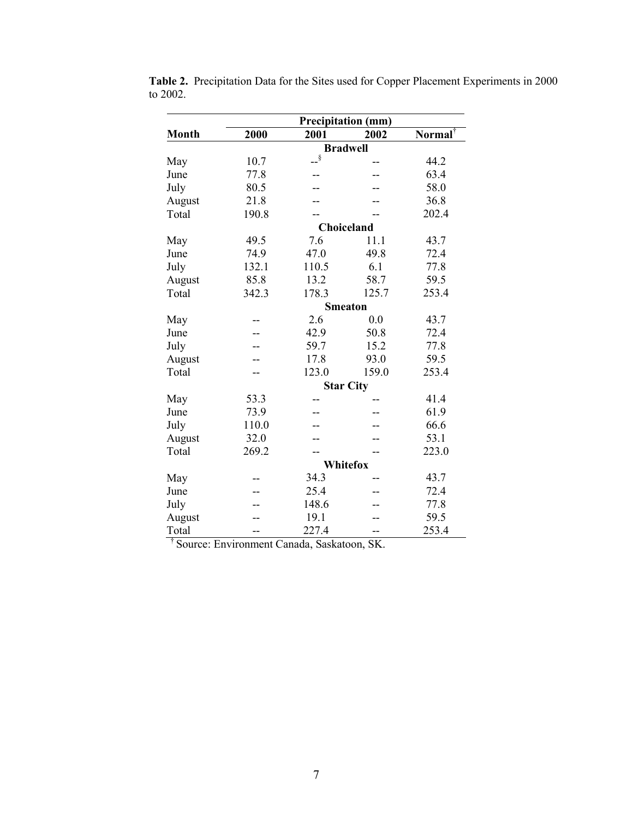|              |       | <b>Precipitation (mm)</b>                               |                 |                     |
|--------------|-------|---------------------------------------------------------|-----------------|---------------------|
| <b>Month</b> | 2000  | 2001                                                    | 2002            | Normal <sup>†</sup> |
|              |       |                                                         | <b>Bradwell</b> |                     |
| May          | 10.7  | $ \stackrel{\text{\normalsize$\text{\normalsize$}}}{-}$ |                 | 44.2                |
| June         | 77.8  |                                                         |                 | 63.4                |
| July         | 80.5  |                                                         |                 | 58.0                |
| August       | 21.8  |                                                         |                 | 36.8                |
| Total        | 190.8 |                                                         |                 | 202.4               |
|              |       | Choiceland                                              |                 |                     |
| May          | 49.5  | 7.6                                                     | 11.1            | 43.7                |
| June         | 74.9  | 47.0                                                    | 49.8            | 72.4                |
| July         | 132.1 | 110.5                                                   | 6.1             | 77.8                |
| August       | 85.8  | 13.2                                                    | 58.7            | 59.5                |
| Total        | 342.3 | 178.3                                                   | 125.7           | 253.4               |
|              |       | <b>Smeaton</b>                                          |                 |                     |
| May          |       | 2.6                                                     | 0.0             | 43.7                |
| June         |       | 42.9                                                    | 50.8            | 72.4                |
| July         |       | 59.7                                                    | 15.2            | 77.8                |
| August       |       | 17.8                                                    | 93.0            | 59.5                |
| Total        |       | 123.0                                                   | 159.0           | 253.4               |
|              |       | <b>Star City</b>                                        |                 |                     |
| May          | 53.3  |                                                         |                 | 41.4                |
| June         | 73.9  |                                                         |                 | 61.9                |
| July         | 110.0 |                                                         |                 | 66.6                |
| August       | 32.0  |                                                         |                 | 53.1                |
| Total        | 269.2 |                                                         |                 | 223.0               |
|              |       |                                                         | <b>Whitefox</b> |                     |
| May          |       | 34.3                                                    |                 | 43.7                |
| June         |       | 25.4                                                    |                 | 72.4                |
| July         |       | 148.6                                                   |                 | 77.8                |
| August       |       | 19.1                                                    |                 | 59.5                |
| Total        | --    | 227.4                                                   | --              | 253.4               |

**Table 2.** Precipitation Data for the Sites used for Copper Placement Experiments in 2000 to 2002.

† Source: Environment Canada, Saskatoon, SK.